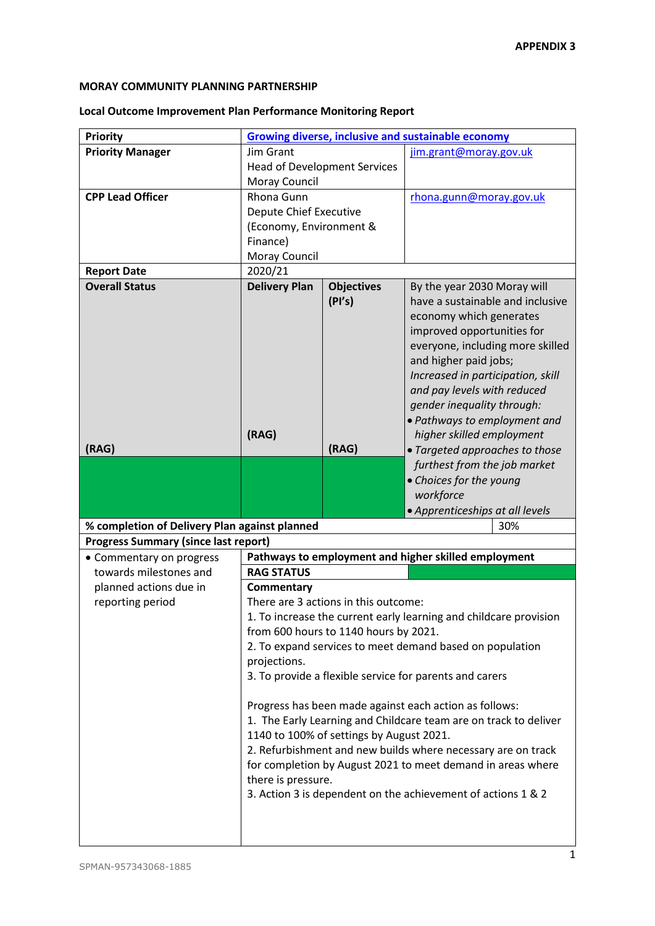## **MORAY COMMUNITY PLANNING PARTNERSHIP**

## **Local Outcome Improvement Plan Performance Monitoring Report**

| <b>Priority</b>                                                   | <b>Growing diverse, inclusive and sustainable economy</b> |                                          |                                                                  |  |  |
|-------------------------------------------------------------------|-----------------------------------------------------------|------------------------------------------|------------------------------------------------------------------|--|--|
| <b>Priority Manager</b>                                           | Jim Grant                                                 |                                          | jim.grant@moray.gov.uk                                           |  |  |
|                                                                   |                                                           | <b>Head of Development Services</b>      |                                                                  |  |  |
|                                                                   | Moray Council                                             |                                          |                                                                  |  |  |
| <b>CPP Lead Officer</b>                                           | Rhona Gunn                                                |                                          | rhona.gunn@moray.gov.uk                                          |  |  |
|                                                                   | Depute Chief Executive                                    |                                          |                                                                  |  |  |
|                                                                   | (Economy, Environment &                                   |                                          |                                                                  |  |  |
|                                                                   | Finance)                                                  |                                          |                                                                  |  |  |
|                                                                   | Moray Council                                             |                                          |                                                                  |  |  |
| <b>Report Date</b>                                                | 2020/21                                                   |                                          |                                                                  |  |  |
| <b>Overall Status</b>                                             | <b>Delivery Plan</b>                                      | <b>Objectives</b>                        | By the year 2030 Moray will                                      |  |  |
|                                                                   |                                                           | (PI's)                                   | have a sustainable and inclusive                                 |  |  |
|                                                                   |                                                           |                                          | economy which generates                                          |  |  |
|                                                                   |                                                           |                                          | improved opportunities for                                       |  |  |
|                                                                   |                                                           |                                          | everyone, including more skilled                                 |  |  |
|                                                                   |                                                           |                                          | and higher paid jobs;                                            |  |  |
|                                                                   |                                                           |                                          | Increased in participation, skill                                |  |  |
|                                                                   |                                                           |                                          | and pay levels with reduced                                      |  |  |
|                                                                   |                                                           |                                          | gender inequality through:                                       |  |  |
|                                                                   |                                                           |                                          | · Pathways to employment and                                     |  |  |
|                                                                   | (RAG)                                                     |                                          | higher skilled employment                                        |  |  |
| (RAG)                                                             |                                                           | (RAG)                                    | • Targeted approaches to those                                   |  |  |
|                                                                   |                                                           |                                          | furthest from the job market                                     |  |  |
|                                                                   |                                                           |                                          | • Choices for the young                                          |  |  |
|                                                                   |                                                           |                                          | workforce                                                        |  |  |
|                                                                   |                                                           |                                          | · Apprenticeships at all levels                                  |  |  |
| % completion of Delivery Plan against planned<br>30%              |                                                           |                                          |                                                                  |  |  |
| <b>Progress Summary (since last report)</b>                       |                                                           |                                          | Pathways to employment and higher skilled employment             |  |  |
| • Commentary on progress<br>towards milestones and                |                                                           |                                          |                                                                  |  |  |
| planned actions due in                                            | <b>RAG STATUS</b>                                         |                                          |                                                                  |  |  |
| reporting period                                                  | Commentary<br>There are 3 actions in this outcome:        |                                          |                                                                  |  |  |
| 1. To increase the current early learning and childcare provision |                                                           |                                          |                                                                  |  |  |
|                                                                   |                                                           |                                          |                                                                  |  |  |
|                                                                   |                                                           |                                          |                                                                  |  |  |
|                                                                   |                                                           | from 600 hours to 1140 hours by 2021.    |                                                                  |  |  |
|                                                                   |                                                           |                                          | 2. To expand services to meet demand based on population         |  |  |
|                                                                   | projections.                                              |                                          |                                                                  |  |  |
|                                                                   |                                                           |                                          | 3. To provide a flexible service for parents and carers          |  |  |
|                                                                   |                                                           |                                          |                                                                  |  |  |
|                                                                   |                                                           |                                          | Progress has been made against each action as follows:           |  |  |
|                                                                   |                                                           | 1140 to 100% of settings by August 2021. | 1. The Early Learning and Childcare team are on track to deliver |  |  |
|                                                                   |                                                           |                                          | 2. Refurbishment and new builds where necessary are on track     |  |  |
|                                                                   |                                                           |                                          | for completion by August 2021 to meet demand in areas where      |  |  |
|                                                                   | there is pressure.                                        |                                          |                                                                  |  |  |
|                                                                   |                                                           |                                          | 3. Action 3 is dependent on the achievement of actions 1 & 2     |  |  |
|                                                                   |                                                           |                                          |                                                                  |  |  |
|                                                                   |                                                           |                                          |                                                                  |  |  |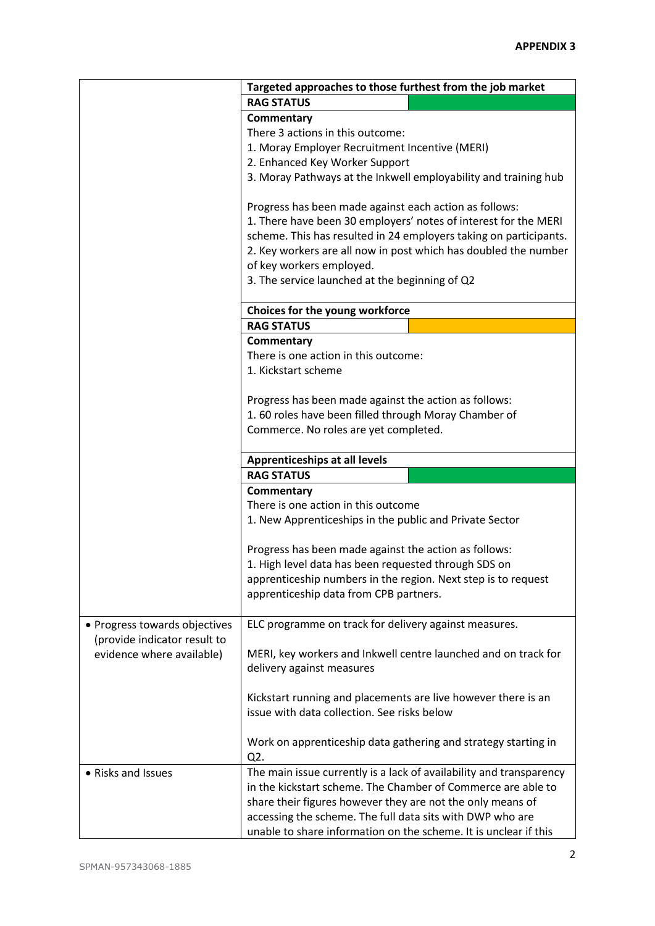| <b>RAG STATUS</b><br>Commentary<br>There 3 actions in this outcome:<br>1. Moray Employer Recruitment Incentive (MERI)<br>2. Enhanced Key Worker Support<br>3. Moray Pathways at the Inkwell employability and training hub<br>Progress has been made against each action as follows:<br>1. There have been 30 employers' notes of interest for the MERI<br>scheme. This has resulted in 24 employers taking on participants.<br>2. Key workers are all now in post which has doubled the number<br>of key workers employed.<br>3. The service launched at the beginning of Q2<br>Choices for the young workforce<br><b>RAG STATUS</b><br>Commentary<br>There is one action in this outcome:<br>1. Kickstart scheme<br>Progress has been made against the action as follows:<br>1.60 roles have been filled through Moray Chamber of<br>Commerce. No roles are yet completed.<br><b>Apprenticeships at all levels</b><br><b>RAG STATUS</b><br>Commentary<br>There is one action in this outcome<br>1. New Apprenticeships in the public and Private Sector<br>Progress has been made against the action as follows:<br>1. High level data has been requested through SDS on<br>apprenticeship numbers in the region. Next step is to request<br>apprenticeship data from CPB partners.<br>ELC programme on track for delivery against measures.<br>• Progress towards objectives<br>(provide indicator result to<br>evidence where available)<br>MERI, key workers and Inkwell centre launched and on track for<br>delivery against measures<br>Kickstart running and placements are live however there is an |  | Targeted approaches to those furthest from the job market |  |  |  |
|--------------------------------------------------------------------------------------------------------------------------------------------------------------------------------------------------------------------------------------------------------------------------------------------------------------------------------------------------------------------------------------------------------------------------------------------------------------------------------------------------------------------------------------------------------------------------------------------------------------------------------------------------------------------------------------------------------------------------------------------------------------------------------------------------------------------------------------------------------------------------------------------------------------------------------------------------------------------------------------------------------------------------------------------------------------------------------------------------------------------------------------------------------------------------------------------------------------------------------------------------------------------------------------------------------------------------------------------------------------------------------------------------------------------------------------------------------------------------------------------------------------------------------------------------------------------------------------------------------------|--|-----------------------------------------------------------|--|--|--|
|                                                                                                                                                                                                                                                                                                                                                                                                                                                                                                                                                                                                                                                                                                                                                                                                                                                                                                                                                                                                                                                                                                                                                                                                                                                                                                                                                                                                                                                                                                                                                                                                              |  |                                                           |  |  |  |
|                                                                                                                                                                                                                                                                                                                                                                                                                                                                                                                                                                                                                                                                                                                                                                                                                                                                                                                                                                                                                                                                                                                                                                                                                                                                                                                                                                                                                                                                                                                                                                                                              |  |                                                           |  |  |  |
|                                                                                                                                                                                                                                                                                                                                                                                                                                                                                                                                                                                                                                                                                                                                                                                                                                                                                                                                                                                                                                                                                                                                                                                                                                                                                                                                                                                                                                                                                                                                                                                                              |  |                                                           |  |  |  |
|                                                                                                                                                                                                                                                                                                                                                                                                                                                                                                                                                                                                                                                                                                                                                                                                                                                                                                                                                                                                                                                                                                                                                                                                                                                                                                                                                                                                                                                                                                                                                                                                              |  |                                                           |  |  |  |
|                                                                                                                                                                                                                                                                                                                                                                                                                                                                                                                                                                                                                                                                                                                                                                                                                                                                                                                                                                                                                                                                                                                                                                                                                                                                                                                                                                                                                                                                                                                                                                                                              |  |                                                           |  |  |  |
|                                                                                                                                                                                                                                                                                                                                                                                                                                                                                                                                                                                                                                                                                                                                                                                                                                                                                                                                                                                                                                                                                                                                                                                                                                                                                                                                                                                                                                                                                                                                                                                                              |  |                                                           |  |  |  |
|                                                                                                                                                                                                                                                                                                                                                                                                                                                                                                                                                                                                                                                                                                                                                                                                                                                                                                                                                                                                                                                                                                                                                                                                                                                                                                                                                                                                                                                                                                                                                                                                              |  |                                                           |  |  |  |
|                                                                                                                                                                                                                                                                                                                                                                                                                                                                                                                                                                                                                                                                                                                                                                                                                                                                                                                                                                                                                                                                                                                                                                                                                                                                                                                                                                                                                                                                                                                                                                                                              |  |                                                           |  |  |  |
|                                                                                                                                                                                                                                                                                                                                                                                                                                                                                                                                                                                                                                                                                                                                                                                                                                                                                                                                                                                                                                                                                                                                                                                                                                                                                                                                                                                                                                                                                                                                                                                                              |  |                                                           |  |  |  |
|                                                                                                                                                                                                                                                                                                                                                                                                                                                                                                                                                                                                                                                                                                                                                                                                                                                                                                                                                                                                                                                                                                                                                                                                                                                                                                                                                                                                                                                                                                                                                                                                              |  |                                                           |  |  |  |
|                                                                                                                                                                                                                                                                                                                                                                                                                                                                                                                                                                                                                                                                                                                                                                                                                                                                                                                                                                                                                                                                                                                                                                                                                                                                                                                                                                                                                                                                                                                                                                                                              |  |                                                           |  |  |  |
|                                                                                                                                                                                                                                                                                                                                                                                                                                                                                                                                                                                                                                                                                                                                                                                                                                                                                                                                                                                                                                                                                                                                                                                                                                                                                                                                                                                                                                                                                                                                                                                                              |  |                                                           |  |  |  |
|                                                                                                                                                                                                                                                                                                                                                                                                                                                                                                                                                                                                                                                                                                                                                                                                                                                                                                                                                                                                                                                                                                                                                                                                                                                                                                                                                                                                                                                                                                                                                                                                              |  |                                                           |  |  |  |
|                                                                                                                                                                                                                                                                                                                                                                                                                                                                                                                                                                                                                                                                                                                                                                                                                                                                                                                                                                                                                                                                                                                                                                                                                                                                                                                                                                                                                                                                                                                                                                                                              |  |                                                           |  |  |  |
|                                                                                                                                                                                                                                                                                                                                                                                                                                                                                                                                                                                                                                                                                                                                                                                                                                                                                                                                                                                                                                                                                                                                                                                                                                                                                                                                                                                                                                                                                                                                                                                                              |  |                                                           |  |  |  |
|                                                                                                                                                                                                                                                                                                                                                                                                                                                                                                                                                                                                                                                                                                                                                                                                                                                                                                                                                                                                                                                                                                                                                                                                                                                                                                                                                                                                                                                                                                                                                                                                              |  |                                                           |  |  |  |
|                                                                                                                                                                                                                                                                                                                                                                                                                                                                                                                                                                                                                                                                                                                                                                                                                                                                                                                                                                                                                                                                                                                                                                                                                                                                                                                                                                                                                                                                                                                                                                                                              |  |                                                           |  |  |  |
|                                                                                                                                                                                                                                                                                                                                                                                                                                                                                                                                                                                                                                                                                                                                                                                                                                                                                                                                                                                                                                                                                                                                                                                                                                                                                                                                                                                                                                                                                                                                                                                                              |  |                                                           |  |  |  |
|                                                                                                                                                                                                                                                                                                                                                                                                                                                                                                                                                                                                                                                                                                                                                                                                                                                                                                                                                                                                                                                                                                                                                                                                                                                                                                                                                                                                                                                                                                                                                                                                              |  |                                                           |  |  |  |
|                                                                                                                                                                                                                                                                                                                                                                                                                                                                                                                                                                                                                                                                                                                                                                                                                                                                                                                                                                                                                                                                                                                                                                                                                                                                                                                                                                                                                                                                                                                                                                                                              |  |                                                           |  |  |  |
|                                                                                                                                                                                                                                                                                                                                                                                                                                                                                                                                                                                                                                                                                                                                                                                                                                                                                                                                                                                                                                                                                                                                                                                                                                                                                                                                                                                                                                                                                                                                                                                                              |  |                                                           |  |  |  |
|                                                                                                                                                                                                                                                                                                                                                                                                                                                                                                                                                                                                                                                                                                                                                                                                                                                                                                                                                                                                                                                                                                                                                                                                                                                                                                                                                                                                                                                                                                                                                                                                              |  |                                                           |  |  |  |
|                                                                                                                                                                                                                                                                                                                                                                                                                                                                                                                                                                                                                                                                                                                                                                                                                                                                                                                                                                                                                                                                                                                                                                                                                                                                                                                                                                                                                                                                                                                                                                                                              |  |                                                           |  |  |  |
|                                                                                                                                                                                                                                                                                                                                                                                                                                                                                                                                                                                                                                                                                                                                                                                                                                                                                                                                                                                                                                                                                                                                                                                                                                                                                                                                                                                                                                                                                                                                                                                                              |  |                                                           |  |  |  |
|                                                                                                                                                                                                                                                                                                                                                                                                                                                                                                                                                                                                                                                                                                                                                                                                                                                                                                                                                                                                                                                                                                                                                                                                                                                                                                                                                                                                                                                                                                                                                                                                              |  |                                                           |  |  |  |
|                                                                                                                                                                                                                                                                                                                                                                                                                                                                                                                                                                                                                                                                                                                                                                                                                                                                                                                                                                                                                                                                                                                                                                                                                                                                                                                                                                                                                                                                                                                                                                                                              |  |                                                           |  |  |  |
|                                                                                                                                                                                                                                                                                                                                                                                                                                                                                                                                                                                                                                                                                                                                                                                                                                                                                                                                                                                                                                                                                                                                                                                                                                                                                                                                                                                                                                                                                                                                                                                                              |  |                                                           |  |  |  |
|                                                                                                                                                                                                                                                                                                                                                                                                                                                                                                                                                                                                                                                                                                                                                                                                                                                                                                                                                                                                                                                                                                                                                                                                                                                                                                                                                                                                                                                                                                                                                                                                              |  |                                                           |  |  |  |
|                                                                                                                                                                                                                                                                                                                                                                                                                                                                                                                                                                                                                                                                                                                                                                                                                                                                                                                                                                                                                                                                                                                                                                                                                                                                                                                                                                                                                                                                                                                                                                                                              |  |                                                           |  |  |  |
|                                                                                                                                                                                                                                                                                                                                                                                                                                                                                                                                                                                                                                                                                                                                                                                                                                                                                                                                                                                                                                                                                                                                                                                                                                                                                                                                                                                                                                                                                                                                                                                                              |  |                                                           |  |  |  |
|                                                                                                                                                                                                                                                                                                                                                                                                                                                                                                                                                                                                                                                                                                                                                                                                                                                                                                                                                                                                                                                                                                                                                                                                                                                                                                                                                                                                                                                                                                                                                                                                              |  |                                                           |  |  |  |
|                                                                                                                                                                                                                                                                                                                                                                                                                                                                                                                                                                                                                                                                                                                                                                                                                                                                                                                                                                                                                                                                                                                                                                                                                                                                                                                                                                                                                                                                                                                                                                                                              |  |                                                           |  |  |  |
|                                                                                                                                                                                                                                                                                                                                                                                                                                                                                                                                                                                                                                                                                                                                                                                                                                                                                                                                                                                                                                                                                                                                                                                                                                                                                                                                                                                                                                                                                                                                                                                                              |  |                                                           |  |  |  |
|                                                                                                                                                                                                                                                                                                                                                                                                                                                                                                                                                                                                                                                                                                                                                                                                                                                                                                                                                                                                                                                                                                                                                                                                                                                                                                                                                                                                                                                                                                                                                                                                              |  |                                                           |  |  |  |
|                                                                                                                                                                                                                                                                                                                                                                                                                                                                                                                                                                                                                                                                                                                                                                                                                                                                                                                                                                                                                                                                                                                                                                                                                                                                                                                                                                                                                                                                                                                                                                                                              |  |                                                           |  |  |  |
|                                                                                                                                                                                                                                                                                                                                                                                                                                                                                                                                                                                                                                                                                                                                                                                                                                                                                                                                                                                                                                                                                                                                                                                                                                                                                                                                                                                                                                                                                                                                                                                                              |  |                                                           |  |  |  |
|                                                                                                                                                                                                                                                                                                                                                                                                                                                                                                                                                                                                                                                                                                                                                                                                                                                                                                                                                                                                                                                                                                                                                                                                                                                                                                                                                                                                                                                                                                                                                                                                              |  |                                                           |  |  |  |
|                                                                                                                                                                                                                                                                                                                                                                                                                                                                                                                                                                                                                                                                                                                                                                                                                                                                                                                                                                                                                                                                                                                                                                                                                                                                                                                                                                                                                                                                                                                                                                                                              |  |                                                           |  |  |  |
|                                                                                                                                                                                                                                                                                                                                                                                                                                                                                                                                                                                                                                                                                                                                                                                                                                                                                                                                                                                                                                                                                                                                                                                                                                                                                                                                                                                                                                                                                                                                                                                                              |  |                                                           |  |  |  |
|                                                                                                                                                                                                                                                                                                                                                                                                                                                                                                                                                                                                                                                                                                                                                                                                                                                                                                                                                                                                                                                                                                                                                                                                                                                                                                                                                                                                                                                                                                                                                                                                              |  |                                                           |  |  |  |
|                                                                                                                                                                                                                                                                                                                                                                                                                                                                                                                                                                                                                                                                                                                                                                                                                                                                                                                                                                                                                                                                                                                                                                                                                                                                                                                                                                                                                                                                                                                                                                                                              |  |                                                           |  |  |  |
|                                                                                                                                                                                                                                                                                                                                                                                                                                                                                                                                                                                                                                                                                                                                                                                                                                                                                                                                                                                                                                                                                                                                                                                                                                                                                                                                                                                                                                                                                                                                                                                                              |  | issue with data collection. See risks below               |  |  |  |
|                                                                                                                                                                                                                                                                                                                                                                                                                                                                                                                                                                                                                                                                                                                                                                                                                                                                                                                                                                                                                                                                                                                                                                                                                                                                                                                                                                                                                                                                                                                                                                                                              |  |                                                           |  |  |  |
| Work on apprenticeship data gathering and strategy starting in                                                                                                                                                                                                                                                                                                                                                                                                                                                                                                                                                                                                                                                                                                                                                                                                                                                                                                                                                                                                                                                                                                                                                                                                                                                                                                                                                                                                                                                                                                                                               |  |                                                           |  |  |  |
| Q <sub>2</sub> .                                                                                                                                                                                                                                                                                                                                                                                                                                                                                                                                                                                                                                                                                                                                                                                                                                                                                                                                                                                                                                                                                                                                                                                                                                                                                                                                                                                                                                                                                                                                                                                             |  |                                                           |  |  |  |
| The main issue currently is a lack of availability and transparency<br>• Risks and Issues                                                                                                                                                                                                                                                                                                                                                                                                                                                                                                                                                                                                                                                                                                                                                                                                                                                                                                                                                                                                                                                                                                                                                                                                                                                                                                                                                                                                                                                                                                                    |  |                                                           |  |  |  |
| in the kickstart scheme. The Chamber of Commerce are able to                                                                                                                                                                                                                                                                                                                                                                                                                                                                                                                                                                                                                                                                                                                                                                                                                                                                                                                                                                                                                                                                                                                                                                                                                                                                                                                                                                                                                                                                                                                                                 |  |                                                           |  |  |  |
| share their figures however they are not the only means of                                                                                                                                                                                                                                                                                                                                                                                                                                                                                                                                                                                                                                                                                                                                                                                                                                                                                                                                                                                                                                                                                                                                                                                                                                                                                                                                                                                                                                                                                                                                                   |  |                                                           |  |  |  |
| accessing the scheme. The full data sits with DWP who are                                                                                                                                                                                                                                                                                                                                                                                                                                                                                                                                                                                                                                                                                                                                                                                                                                                                                                                                                                                                                                                                                                                                                                                                                                                                                                                                                                                                                                                                                                                                                    |  |                                                           |  |  |  |
| unable to share information on the scheme. It is unclear if this                                                                                                                                                                                                                                                                                                                                                                                                                                                                                                                                                                                                                                                                                                                                                                                                                                                                                                                                                                                                                                                                                                                                                                                                                                                                                                                                                                                                                                                                                                                                             |  |                                                           |  |  |  |